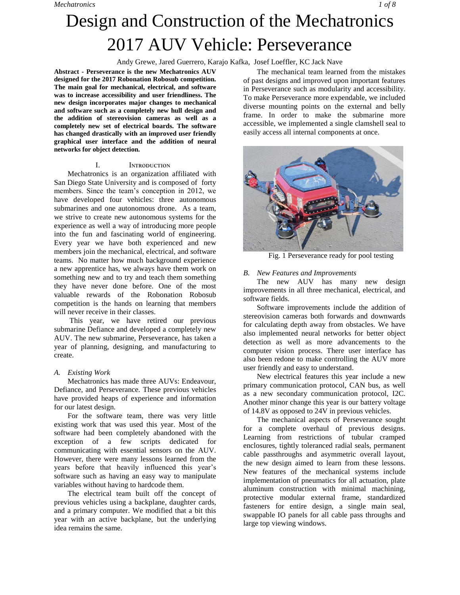### Andy Grewe, Jared Guerrero, Karajo Kafka, Josef Loeffler, KC Jack Nave

**Abstract - Perseverance is the new Mechatronics AUV designed for the 2017 Robonation Robosub competition. The main goal for mechanical, electrical, and software was to increase accessibility and user friendliness. The new design incorporates major changes to mechanical and software such as a completely new hull design and the addition of stereovision cameras as well as a completely new set of electrical boards. The software has changed drastically with an improved user friendly graphical user interface and the addition of neural networks for object detection.** 

#### I. INTRODUCTION

Mechatronics is an organization affiliated with San Diego State University and is composed of forty members. Since the team's conception in 2012, we have developed four vehicles: three autonomous submarines and one autonomous drone. As a team, we strive to create new autonomous systems for the experience as well a way of introducing more people into the fun and fascinating world of engineering. Every year we have both experienced and new members join the mechanical, electrical, and software teams. No matter how much background experience a new apprentice has, we always have them work on something new and to try and teach them something they have never done before. One of the most valuable rewards of the Robonation Robosub competition is the hands on learning that members will never receive in their classes.

This year, we have retired our previous submarine Defiance and developed a completely new AUV. The new submarine, Perseverance, has taken a year of planning, designing, and manufacturing to create.

### *A. Existing Work*

Mechatronics has made three AUVs: Endeavour, Defiance, and Perseverance. These previous vehicles have provided heaps of experience and information for our latest design.

For the software team, there was very little existing work that was used this year. Most of the software had been completely abandoned with the exception of a few scripts dedicated for communicating with essential sensors on the AUV. However, there were many lessons learned from the years before that heavily influenced this year's software such as having an easy way to manipulate variables without having to hardcode them.

The electrical team built off the concept of previous vehicles using a backplane, daughter cards, and a primary computer. We modified that a bit this year with an active backplane, but the underlying idea remains the same.

The mechanical team learned from the mistakes of past designs and improved upon important features in Perseverance such as modularity and accessibility. To make Perseverance more expendable, we included diverse mounting points on the external and belly frame. In order to make the submarine more accessible, we implemented a single clamshell seal to easily access all internal components at once.



Fig. 1 Perseverance ready for pool testing

#### *B. New Features and Improvements*

The new AUV has many new design improvements in all three mechanical, electrical, and software fields.

Software improvements include the addition of stereovision cameras both forwards and downwards for calculating depth away from obstacles. We have also implemented neural networks for better object detection as well as more advancements to the computer vision process. There user interface has also been redone to make controlling the AUV more user friendly and easy to understand.

New electrical features this year include a new primary communication protocol, CAN bus, as well as a new secondary communication protocol, I2C. Another minor change this year is our battery voltage of 14.8V as opposed to 24V in previous vehicles.

The mechanical aspects of Perseverance sought for a complete overhaul of previous designs. Learning from restrictions of tubular cramped enclosures, tightly toleranced radial seals, permanent cable passthroughs and asymmetric overall layout, the new design aimed to learn from these lessons. New features of the mechanical systems include implementation of pneumatics for all actuation, plate aluminum construction with minimal machining, protective modular external frame, standardized fasteners for entire design, a single main seal, swappable IO panels for all cable pass throughs and large top viewing windows.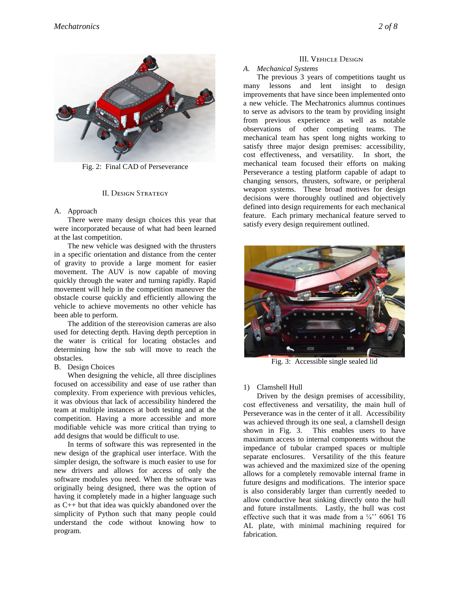

Fig. 2: Final CAD of Perseverance

#### II. DESIGN STRATEGY

## A. Approach

There were many design choices this year that were incorporated because of what had been learned at the last competition.

The new vehicle was designed with the thrusters in a specific orientation and distance from the center of gravity to provide a large moment for easier movement. The AUV is now capable of moving quickly through the water and turning rapidly. Rapid movement will help in the competition maneuver the obstacle course quickly and efficiently allowing the vehicle to achieve movements no other vehicle has been able to perform.

The addition of the stereovision cameras are also used for detecting depth. Having depth perception in the water is critical for locating obstacles and determining how the sub will move to reach the obstacles.

# B. Design Choices

When designing the vehicle, all three disciplines focused on accessibility and ease of use rather than complexity. From experience with previous vehicles, it was obvious that lack of accessibility hindered the team at multiple instances at both testing and at the competition. Having a more accessible and more modifiable vehicle was more critical than trying to add designs that would be difficult to use.

In terms of software this was represented in the new design of the graphical user interface. With the simpler design, the software is much easier to use for new drivers and allows for access of only the software modules you need. When the software was originally being designed, there was the option of having it completely made in a higher language such as C++ but that idea was quickly abandoned over the simplicity of Python such that many people could understand the code without knowing how to program.

### III. VEHICLE DESIGN

# *A. Mechanical Systems*

The previous 3 years of competitions taught us many lessons and lent insight to design improvements that have since been implemented onto a new vehicle. The Mechatronics alumnus continues to serve as advisors to the team by providing insight from previous experience as well as notable observations of other competing teams. The mechanical team has spent long nights working to satisfy three major design premises: accessibility, cost effectiveness, and versatility. In short, the mechanical team focused their efforts on making Perseverance a testing platform capable of adapt to changing sensors, thrusters, software, or peripheral weapon systems. These broad motives for design decisions were thoroughly outlined and objectively defined into design requirements for each mechanical feature. Each primary mechanical feature served to satisfy every design requirement outlined.



Fig. 3: Accessible single sealed lid

# 1) Clamshell Hull

Driven by the design premises of accessibility, cost effectiveness and versatility, the main hull of Perseverance was in the center of it all. Accessibility was achieved through its one seal, a clamshell design shown in Fig. 3. This enables users to have maximum access to internal components without the impedance of tubular cramped spaces or multiple separate enclosures. Versatility of the this feature was achieved and the maximized size of the opening allows for a completely removable internal frame in future designs and modifications. The interior space is also considerably larger than currently needed to allow conductive heat sinking directly onto the hull and future installments. Lastly, the hull was cost effective such that it was made from a  $\frac{1}{4}$  6061 T6 AL plate, with minimal machining required for fabrication.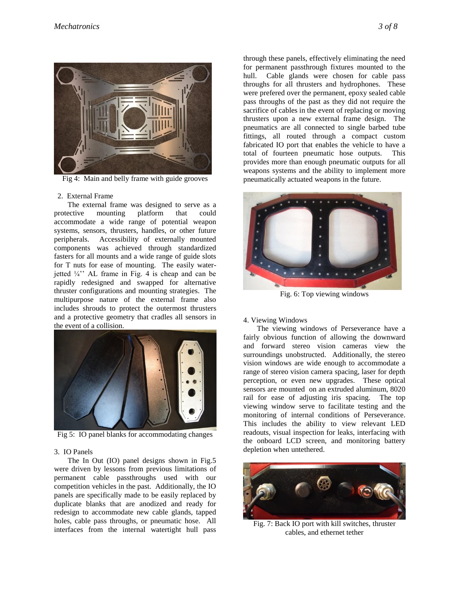

Fig 4: Main and belly frame with guide grooves

#### 2. External Frame

The external frame was designed to serve as a protective mounting platform that could accommodate a wide range of potential weapon systems, sensors, thrusters, handles, or other future peripherals. Accessibility of externally mounted components was achieved through standardized fasters for all mounts and a wide range of guide slots for T nuts for ease of mounting. The easily waterjetted  $\frac{1}{4}$ <sup>\*</sup>. AL frame in Fig. 4 is cheap and can be rapidly redesigned and swapped for alternative thruster configurations and mounting strategies. The multipurpose nature of the external frame also includes shrouds to protect the outermost thrusters and a protective geometry that cradles all sensors in the event of a collision.



Fig 5: IO panel blanks for accommodating changes

#### 3. IO Panels

The In Out (IO) panel designs shown in Fig.5 were driven by lessons from previous limitations of permanent cable passthroughs used with our competition vehicles in the past. Additionally, the IO panels are specifically made to be easily replaced by duplicate blanks that are anodized and ready for redesign to accommodate new cable glands, tapped holes, cable pass throughs, or pneumatic hose. All interfaces from the internal watertight hull pass through these panels, effectively eliminating the need for permanent passthrough fixtures mounted to the hull. Cable glands were chosen for cable pass throughs for all thrusters and hydrophones. These were prefered over the permanent, epoxy sealed cable pass throughs of the past as they did not require the sacrifice of cables in the event of replacing or moving thrusters upon a new external frame design. The pneumatics are all connected to single barbed tube fittings, all routed through a compact custom fabricated IO port that enables the vehicle to have a total of fourteen pneumatic hose outputs. This provides more than enough pneumatic outputs for all weapons systems and the ability to implement more pneumatically actuated weapons in the future.



Fig. 6: Top viewing windows

#### 4. Viewing Windows

The viewing windows of Perseverance have a fairly obvious function of allowing the downward and forward stereo vision cameras view the surroundings unobstructed. Additionally, the stereo vision windows are wide enough to accommodate a range of stereo vision camera spacing, laser for depth perception, or even new upgrades. These optical sensors are mounted on an extruded aluminum, 8020 rail for ease of adjusting iris spacing. The top viewing window serve to facilitate testing and the monitoring of internal conditions of Perseverance. This includes the ability to view relevant LED readouts, visual inspection for leaks, interfacing with the onboard LCD screen, and monitoring battery depletion when untethered.



Fig. 7: Back IO port with kill switches, thruster cables, and ethernet tether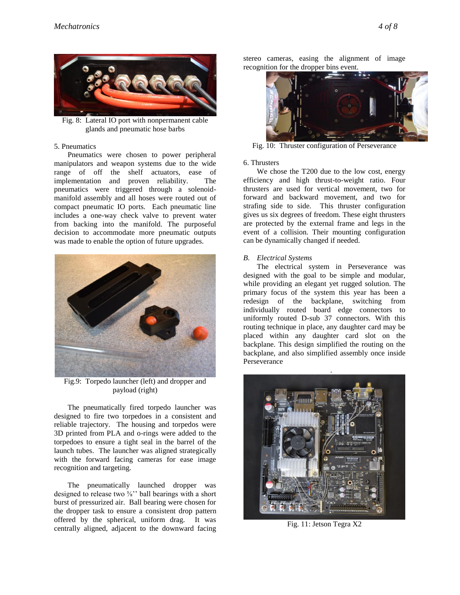

Fig. 8: Lateral IO port with nonpermanent cable glands and pneumatic hose barbs

### 5. Pneumatics

Pneumatics were chosen to power peripheral manipulators and weapon systems due to the wide range of off the shelf actuators, ease of implementation and proven reliability. The pneumatics were triggered through a solenoidmanifold assembly and all hoses were routed out of compact pneumatic IO ports. Each pneumatic line includes a one-way check valve to prevent water from backing into the manifold. The purposeful decision to accommodate more pneumatic outputs was made to enable the option of future upgrades.



Fig.9: Torpedo launcher (left) and dropper and payload (right)

The pneumatically fired torpedo launcher was designed to fire two torpedoes in a consistent and reliable trajectory. The housing and torpedos were 3D printed from PLA and o-rings were added to the torpedoes to ensure a tight seal in the barrel of the launch tubes. The launcher was aligned strategically with the forward facing cameras for ease image recognition and targeting.

The pneumatically launched dropper was designed to release two ⅝'' ball bearings with a short burst of pressurized air. Ball bearing were chosen for the dropper task to ensure a consistent drop pattern offered by the spherical, uniform drag. It was centrally aligned, adjacent to the downward facing stereo cameras, easing the alignment of image recognition for the dropper bins event.



Fig. 10: Thruster configuration of Perseverance

#### 6. Thrusters

We chose the T200 due to the low cost, energy efficiency and high thrust-to-weight ratio. Four thrusters are used for vertical movement, two for forward and backward movement, and two for strafing side to side. This thruster configuration gives us six degrees of freedom. These eight thrusters are protected by the external frame and legs in the event of a collision. Their mounting configuration can be dynamically changed if needed.

#### *B. Electrical Systems*

The electrical system in Perseverance was designed with the goal to be simple and modular, while providing an elegant yet rugged solution. The primary focus of the system this year has been a redesign of the backplane, switching from individually routed board edge connectors to uniformly routed D-sub 37 connectors. With this routing technique in place, any daughter card may be placed within any daughter card slot on the backplane. This design simplified the routing on the backplane, and also simplified assembly once inside Perseverance



Fig. 11: Jetson Tegra X2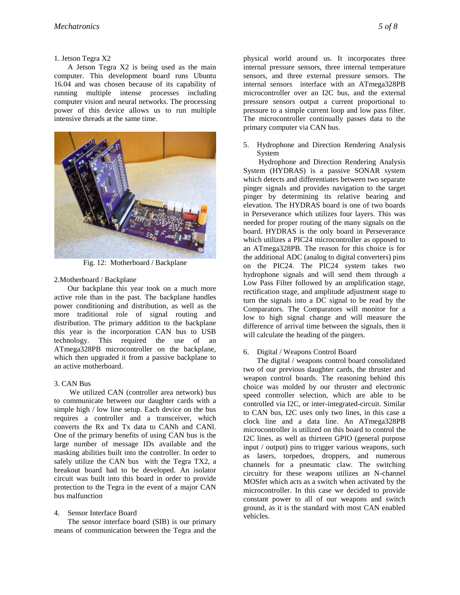#### 1. Jetson Tegra X2

A Jetson Tegra X2 is being used as the main computer. This development board runs Ubuntu 16.04 and was chosen because of its capability of running multiple intense processes including computer vision and neural networks. The processing power of this device allows us to run multiple intensive threads at the same time.



Fig. 12: Motherboard / Backplane

### 2.Motherboard / Backplane

Our backplane this year took on a much more active role than in the past. The backplane handles power conditioning and distribution, as well as the more traditional role of signal routing and distribution. The primary addition to the backplane this year is the incorporation CAN bus to USB technology. This required the use of an ATmega328PB microcontroller on the backplane, which then upgraded it from a passive backplane to an active motherboard.

### 3. CAN Bus

We utilized CAN (controller area network) bus to communicate between our daughter cards with a simple high / low line setup. Each device on the bus requires a controller and a transceiver, which converts the Rx and Tx data to CANh and CANl. One of the primary benefits of using CAN bus is the large number of message IDs available and the masking abilities built into the controller. In order to safely utilize the CAN bus with the Tegra TX2, a breakout board had to be developed. An isolator circuit was built into this board in order to provide protection to the Tegra in the event of a major CAN bus malfunction

### 4. Sensor Interface Board

The sensor interface board (SIB) is our primary means of communication between the Tegra and the physical world around us. It incorporates three internal pressure sensors, three internal temperature sensors, and three external pressure sensors. The internal sensors interface with an ATmega328PB microcontroller over an I2C bus, and the external pressure sensors output a current proportional to pressure to a simple current loop and low pass filter. The microcontroller continually passes data to the primary computer via CAN bus.

5. Hydrophone and Direction Rendering Analysis System

Hydrophone and Direction Rendering Analysis System (HYDRAS) is a passive SONAR system which detects and differentiates between two separate pinger signals and provides navigation to the target pinger by determining its relative bearing and elevation. The HYDRAS board is one of two boards in Perseverance which utilizes four layers. This was needed for proper routing of the many signals on the board. HYDRAS is the only board in Perseverance which utilizes a PIC24 microcontroller as opposed to an ATmega328PB. The reason for this choice is for the additional ADC (analog to digital converters) pins on the PIC24. The PIC24 system takes two hydrophone signals and will send them through a Low Pass Filter followed by an amplification stage, rectification stage, and amplitude adjustment stage to turn the signals into a DC signal to be read by the Comparators. The Comparators will monitor for a low to high signal change and will measure the difference of arrival time between the signals, then it will calculate the heading of the pingers.

### 6. Digital / Weapons Control Board

The digital / weapons control board consolidated two of our previous daughter cards, the thruster and weapon control boards. The reasoning behind this choice was molded by our thruster and electronic speed controller selection, which are able to be controlled via I2C, or inter-integrated-circuit. Similar to CAN bus, I2C uses only two lines, in this case a clock line and a data line. An ATmega328PB microcontroller is utilized on this board to control the I2C lines, as well as thirteen GPIO (general purpose input / output) pins to trigger various weapons, such as lasers, torpedoes, droppers, and numerous channels for a pneumatic claw. The switching circuitry for these weapons utilizes an N-channel MOSfet which acts as a switch when activated by the microcontroller. In this case we decided to provide constant power to all of our weapons and switch ground, as it is the standard with most CAN enabled vehicles.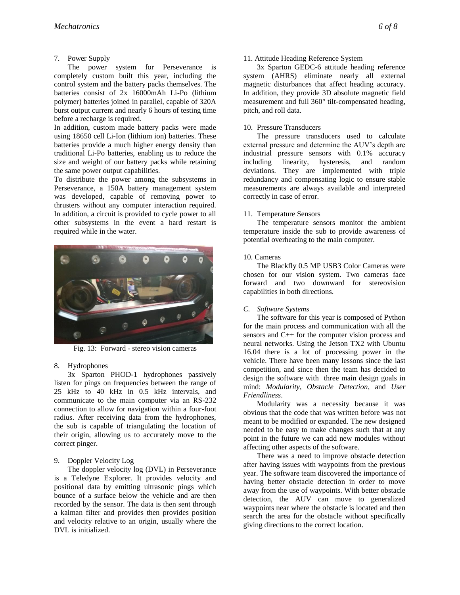# 7. Power Supply

The power system for Perseverance is completely custom built this year, including the control system and the battery packs themselves. The batteries consist of 2x 16000mAh Li-Po (lithium polymer) batteries joined in parallel, capable of 320A burst output current and nearly 6 hours of testing time before a recharge is required.

In addition, custom made battery packs were made using 18650 cell Li-Ion (lithium ion) batteries. These batteries provide a much higher energy density than traditional Li-Po batteries, enabling us to reduce the size and weight of our battery packs while retaining the same power output capabilities.

To distribute the power among the subsystems in Perseverance, a 150A battery management system was developed, capable of removing power to thrusters without any computer interaction required. In addition, a circuit is provided to cycle power to all other subsystems in the event a hard restart is required while in the water.



Fig. 13: Forward - stereo vision cameras

# 8. Hydrophones

3x Sparton PHOD-1 hydrophones passively listen for pings on frequencies between the range of 25 kHz to 40 kHz in 0.5 kHz intervals, and communicate to the main computer via an RS-232 connection to allow for navigation within a four-foot radius. After receiving data from the hydrophones, the sub is capable of triangulating the location of their origin, allowing us to accurately move to the correct pinger.

# 9. Doppler Velocity Log

The doppler velocity log (DVL) in Perseverance is a Teledyne Explorer. It provides velocity and positional data by emitting ultrasonic pings which bounce of a surface below the vehicle and are then recorded by the sensor. The data is then sent through a kalman filter and provides then provides position and velocity relative to an origin, usually where the DVL is initialized.

# 11. Attitude Heading Reference System

3x Sparton GEDC-6 attitude heading reference system (AHRS) eliminate nearly all external magnetic disturbances that affect heading accuracy. In addition, they provide 3D absolute magnetic field measurement and full 360° tilt-compensated heading, pitch, and roll data.

# 10. Pressure Transducers

The pressure transducers used to calculate external pressure and determine the AUV's depth are industrial pressure sensors with 0.1% accuracy including linearity, hysteresis, and random deviations. They are implemented with triple redundancy and compensating logic to ensure stable measurements are always available and interpreted correctly in case of error.

# 11. Temperature Sensors

The temperature sensors monitor the ambient temperature inside the sub to provide awareness of potential overheating to the main computer.

# 10. Cameras

The Blackfly 0.5 MP USB3 Color Cameras were chosen for our vision system. Two cameras face forward and two downward for stereovision capabilities in both directions.

# *C. Software Systems*

The software for this year is composed of Python for the main process and communication with all the sensors and C++ for the computer vision process and neural networks. Using the Jetson TX2 with Ubuntu 16.04 there is a lot of processing power in the vehicle. There have been many lessons since the last competition, and since then the team has decided to design the software with three main design goals in mind: *Modularity*, *Obstacle Detection*, and *User Friendliness*.

Modularity was a necessity because it was obvious that the code that was written before was not meant to be modified or expanded. The new designed needed to be easy to make changes such that at any point in the future we can add new modules without affecting other aspects of the software.

There was a need to improve obstacle detection after having issues with waypoints from the previous year. The software team discovered the importance of having better obstacle detection in order to move away from the use of waypoints. With better obstacle detection, the AUV can move to generalized waypoints near where the obstacle is located and then search the area for the obstacle without specifically giving directions to the correct location.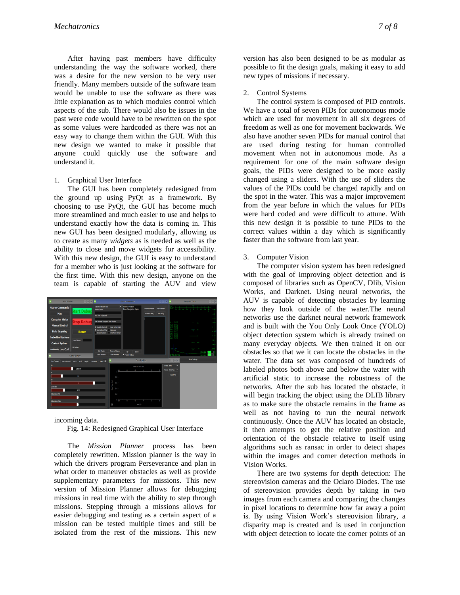After having past members have difficulty understanding the way the software worked, there was a desire for the new version to be very user friendly. Many members outside of the software team would be unable to use the software as there was little explanation as to which modules control which aspects of the sub. There would also be issues in the past were code would have to be rewritten on the spot as some values were hardcoded as there was not an easy way to change them within the GUI. With this new design we wanted to make it possible that anyone could quickly use the software and understand it.

#### 1. Graphical User Interface

The GUI has been completely redesigned from the ground up using PyQt as a framework. By choosing to use PyQt, the GUI has become much more streamlined and much easier to use and helps to understand exactly how the data is coming in. This new GUI has been designed modularly, allowing us to create as many *widgets* as is needed as well as the ability to close and move widgets for accessibility. With this new design, the GUI is easy to understand for a member who is just looking at the software for the first time. With this new design, anyone on the team is capable of starting the AUV and view



incoming data.

Fig. 14: Redesigned Graphical User Interface

The *Mission Planner* process has been completely rewritten. Mission planner is the way in which the drivers program Perseverance and plan in what order to maneuver obstacles as well as provide supplementary parameters for missions. This new version of Mission Planner allows for debugging missions in real time with the ability to step through missions. Stepping through a missions allows for easier debugging and testing as a certain aspect of a mission can be tested multiple times and still be isolated from the rest of the missions. This new version has also been designed to be as modular as possible to fit the design goals, making it easy to add new types of missions if necessary.

2. Control Systems

The control system is composed of PID controls. We have a total of seven PIDs for autonomous mode which are used for movement in all six degrees of freedom as well as one for movement backwards. We also have another seven PIDs for manual control that are used during testing for human controlled movement when not in autonomous mode. As a requirement for one of the main software design goals, the PIDs were designed to be more easily changed using a sliders. With the use of sliders the values of the PIDs could be changed rapidly and on the spot in the water. This was a major improvement from the year before in which the values for PIDs were hard coded and were difficult to attune. With this new design it is possible to tune PIDs to the correct values within a day which is significantly faster than the software from last year.

#### 3. Computer Vision

The computer vision system has been redesigned with the goal of improving object detection and is composed of libraries such as OpenCV, Dlib, Vision Works, and Darknet. Using neural networks, the AUV is capable of detecting obstacles by learning how they look outside of the water.The neural networks use the darknet neural network framework and is built with the You Only Look Once (YOLO) object detection system which is already trained on many everyday objects. We then trained it on our obstacles so that we it can locate the obstacles in the water. The data set was composed of hundreds of labeled photos both above and below the water with artificial static to increase the robustness of the networks. After the sub has located the obstacle, it will begin tracking the object using the DLIB library as to make sure the obstacle remains in the frame as well as not having to run the neural network continuously. Once the AUV has located an obstacle, it then attempts to get the relative position and orientation of the obstacle relative to itself using algorithms such as ransac in order to detect shapes within the images and corner detection methods in Vision Works.

There are two systems for depth detection: The stereovision cameras and the Oclaro Diodes. The use of stereovision provides depth by taking in two images from each camera and comparing the changes in pixel locations to determine how far away a point is. By using Vision Work's stereovision library, a disparity map is created and is used in conjunction with object detection to locate the corner points of an